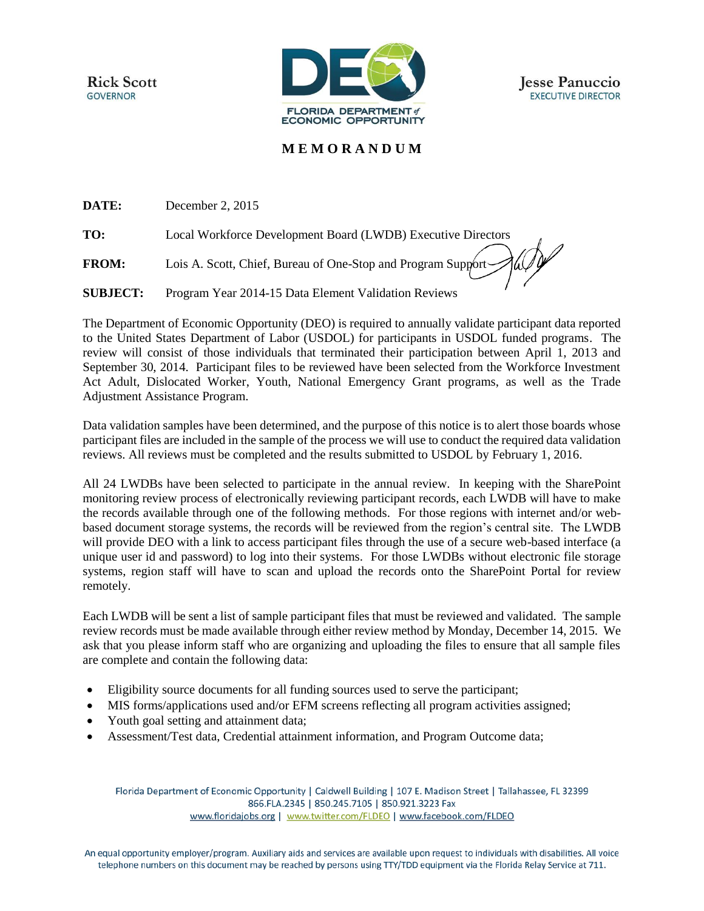**Rick Scott GOVERNOR** 



## **M E M O R A N D U M**

**DATE:** December 2, 2015

**TO:** Local Workforce Development Board (LWDB) Executive Directors

**FROM:** Lois A. Scott, Chief, Bureau of One-Stop and Program Support

**SUBJECT:** Program Year 2014-15 Data Element Validation Reviews

The Department of Economic Opportunity (DEO) is required to annually validate participant data reported to the United States Department of Labor (USDOL) for participants in USDOL funded programs. The review will consist of those individuals that terminated their participation between April 1, 2013 and September 30, 2014. Participant files to be reviewed have been selected from the Workforce Investment Act Adult, Dislocated Worker, Youth, National Emergency Grant programs, as well as the Trade Adjustment Assistance Program.

Data validation samples have been determined, and the purpose of this notice is to alert those boards whose participant files are included in the sample of the process we will use to conduct the required data validation reviews. All reviews must be completed and the results submitted to USDOL by February 1, 2016.

All 24 LWDBs have been selected to participate in the annual review. In keeping with the SharePoint monitoring review process of electronically reviewing participant records, each LWDB will have to make the records available through one of the following methods. For those regions with internet and/or webbased document storage systems, the records will be reviewed from the region's central site. The LWDB will provide DEO with a link to access participant files through the use of a secure web-based interface (a unique user id and password) to log into their systems. For those LWDBs without electronic file storage systems, region staff will have to scan and upload the records onto the SharePoint Portal for review remotely.

Each LWDB will be sent a list of sample participant files that must be reviewed and validated. The sample review records must be made available through either review method by Monday, December 14, 2015. We ask that you please inform staff who are organizing and uploading the files to ensure that all sample files are complete and contain the following data:

- Eligibility source documents for all funding sources used to serve the participant;
- MIS forms/applications used and/or EFM screens reflecting all program activities assigned;
- Youth goal setting and attainment data;
- Assessment/Test data, Credential attainment information, and Program Outcome data;

Florida Department of Economic Opportunity | Caldwell Building | 107 E. Madison Street | Tallahassee, FL 32399 866.FLA.2345 | 850.245.7105 | 850.921.3223 Fax www.floridajobs.org | www.twitter.com/FLDEO | www.facebook.com/FLDEO

An equal opportunity employer/program. Auxiliary aids and services are available upon request to individuals with disabilities. All voice telephone numbers on this document may be reached by persons using TTY/TDD equipment via the Florida Relay Service at 711.